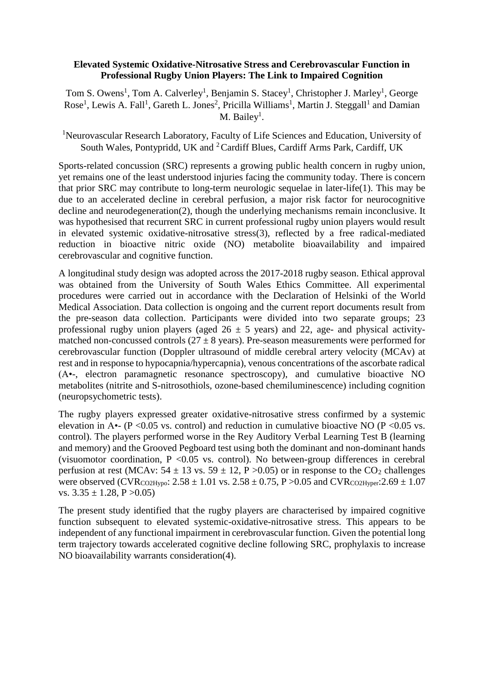## **Elevated Systemic Oxidative-Nitrosative Stress and Cerebrovascular Function in Professional Rugby Union Players: The Link to Impaired Cognition**

Tom S. Owens<sup>1</sup>, Tom A. Calverley<sup>1</sup>, Benjamin S. Stacey<sup>1</sup>, Christopher J. Marley<sup>1</sup>, George Rose<sup>1</sup>, Lewis A. Fall<sup>1</sup>, Gareth L. Jones<sup>2</sup>, Pricilla Williams<sup>1</sup>, Martin J. Steggall<sup>1</sup> and Damian  $M.$  Bailey<sup>1</sup>.

<sup>1</sup>Neurovascular Research Laboratory, Faculty of Life Sciences and Education, University of South Wales, Pontypridd, UK and <sup>2</sup>Cardiff Blues, Cardiff Arms Park, Cardiff, UK

Sports-related concussion (SRC) represents a growing public health concern in rugby union, yet remains one of the least understood injuries facing the community today. There is concern that prior SRC may contribute to long-term neurologic sequelae in later-life(1). This may be due to an accelerated decline in cerebral perfusion, a major risk factor for neurocognitive decline and neurodegeneration(2), though the underlying mechanisms remain inconclusive. It was hypothesised that recurrent SRC in current professional rugby union players would result in elevated systemic oxidative-nitrosative stress(3), reflected by a free radical-mediated reduction in bioactive nitric oxide (NO) metabolite bioavailability and impaired cerebrovascular and cognitive function.

A longitudinal study design was adopted across the 2017-2018 rugby season. Ethical approval was obtained from the University of South Wales Ethics Committee. All experimental procedures were carried out in accordance with the Declaration of Helsinki of the World Medical Association. Data collection is ongoing and the current report documents result from the pre-season data collection. Participants were divided into two separate groups; 23 professional rugby union players (aged  $26 \pm 5$  years) and 22, age- and physical activitymatched non-concussed controls  $(27 \pm 8 \text{ years})$ . Pre-season measurements were performed for cerebrovascular function (Doppler ultrasound of middle cerebral artery velocity (MCAv) at rest and in response to hypocapnia/hypercapnia), venous concentrations of the ascorbate radical (A•-, electron paramagnetic resonance spectroscopy), and cumulative bioactive NO metabolites (nitrite and S-nitrosothiols, ozone-based chemiluminescence) including cognition (neuropsychometric tests).

The rugby players expressed greater oxidative-nitrosative stress confirmed by a systemic elevation in A $\cdot$ - (P < 0.05 vs. control) and reduction in cumulative bioactive NO (P < 0.05 vs. control). The players performed worse in the Rey Auditory Verbal Learning Test B (learning and memory) and the Grooved Pegboard test using both the dominant and non-dominant hands (visuomotor coordination,  $P \leq 0.05$  vs. control). No between-group differences in cerebral perfusion at rest (MCAv:  $54 \pm 13$  vs.  $59 \pm 12$ , P > 0.05) or in response to the CO<sub>2</sub> challenges were observed (CVR<sub>CO2Hypo</sub>:  $2.58 \pm 1.01$  vs.  $2.58 \pm 0.75$ , P  $> 0.05$  and CVR<sub>CO2Hyper</sub>:  $2.69 \pm 1.07$ vs.  $3.35 \pm 1.28$ , P  $>0.05$ )

The present study identified that the rugby players are characterised by impaired cognitive function subsequent to elevated systemic-oxidative-nitrosative stress. This appears to be independent of any functional impairment in cerebrovascular function. Given the potential long term trajectory towards accelerated cognitive decline following SRC, prophylaxis to increase NO bioavailability warrants consideration(4).